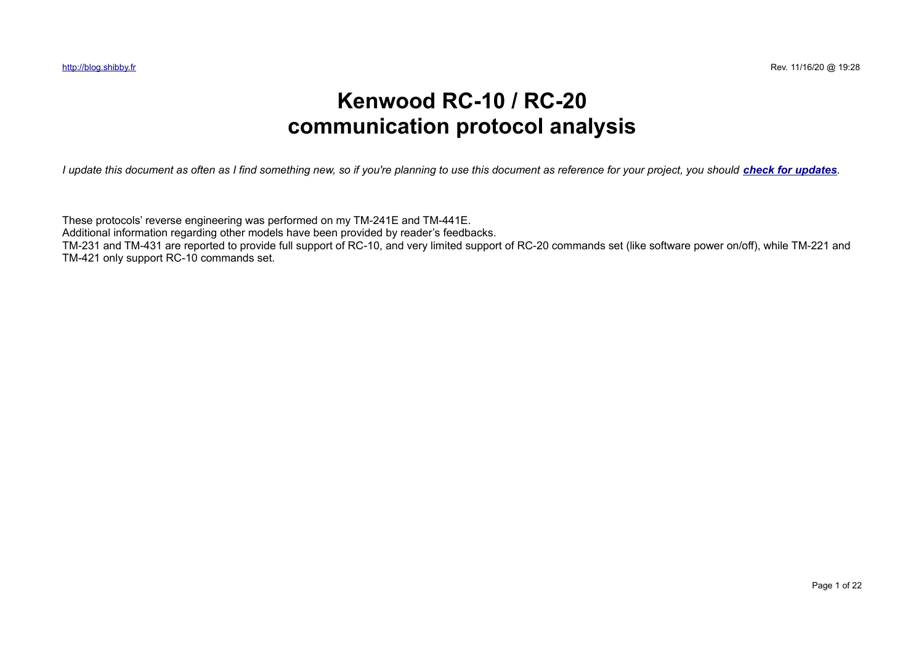# **Kenwood RC-10 / RC-20 communication protocol analysis**

*I update this document as often as I find something new, so if you're planning to use this document as reference for your project, you should [check for updates](http://dl.shibby.fr/blog.shibby.fr/Radio/ProtocolSpecifications.pdf).* 

These protocols' reverse engineering was performed on my TM-241E and TM-441E. Additional information regarding other models have been provided by reader's feedbacks. TM-231 and TM-431 are reported to provide full support of RC-10, and very limited support of RC-20 commands set (like software power on/off), while TM-221 and TM-421 only support RC-10 commands set.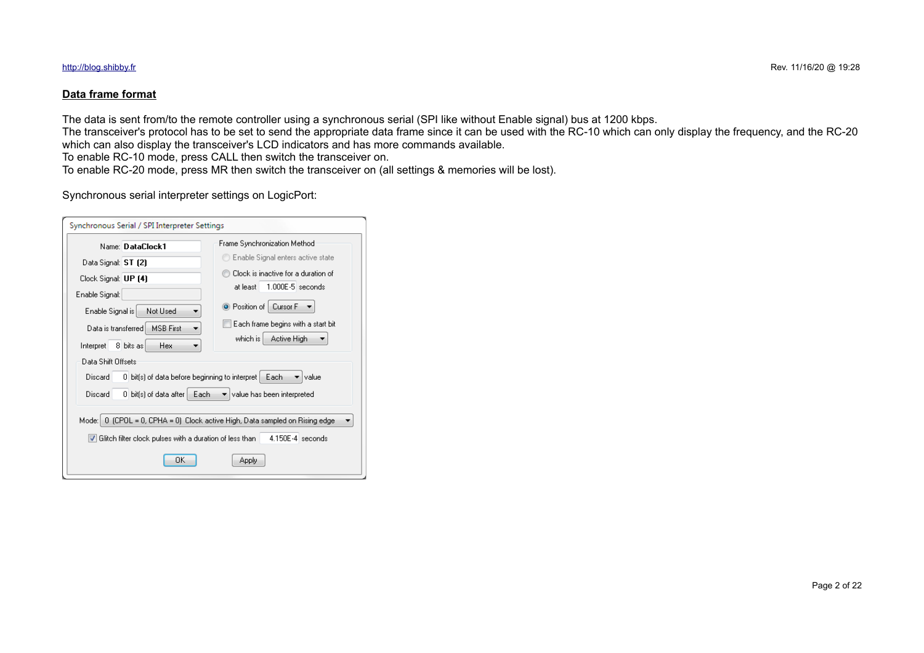## **Data frame format**

The data is sent from/to the remote controller using a synchronous serial (SPI like without Enable signal) bus at 1200 kbps.

The transceiver's protocol has to be set to send the appropriate data frame since it can be used with the RC-10 which can only display the frequency, and the RC-20 which can also display the transceiver's LCD indicators and has more commands available.

To enable RC-10 mode, press CALL then switch the transceiver on.

To enable RC-20 mode, press MR then switch the transceiver on (all settings & memories will be lost).

## Synchronous serial interpreter settings on LogicPort:

| Name: DataClock1                                                       | Frame Synchronization Method                                          |
|------------------------------------------------------------------------|-----------------------------------------------------------------------|
| Data Signal: ST [2]                                                    | Enable Signal enters active state                                     |
| Clock Signal: UP [4]                                                   | Clock is inactive for a duration of<br>$1.000E-5$ seconds<br>at least |
| Enable Signal:<br>Not Used<br>Enable Signal is                         | O Position of   Cursor F                                              |
| <b>MSB First</b><br>Data is transferred.                               | Each frame begins with a start bit<br>which is<br>Active High         |
| Interpret<br>8 bits as<br>Hex<br>Data Shift Offsets                    |                                                                       |
| Discard                                                                | 0 bit(s) of data before beginning to interpret<br>Each<br>value       |
| Discard<br>$0$ bit(s) of data after $\vert$                            | Each<br>$\blacktriangleright$ value has been interpreted              |
| Mode: li                                                               | 0 (CPOL = 0, CPHA = 0) Clock active High, Data sampled on Rising edge |
| $ \mathbf{v} $ Glitch filter clock pulses with a duration of less than | $4.150E-4$ seconds                                                    |
| ΩK                                                                     | Apply                                                                 |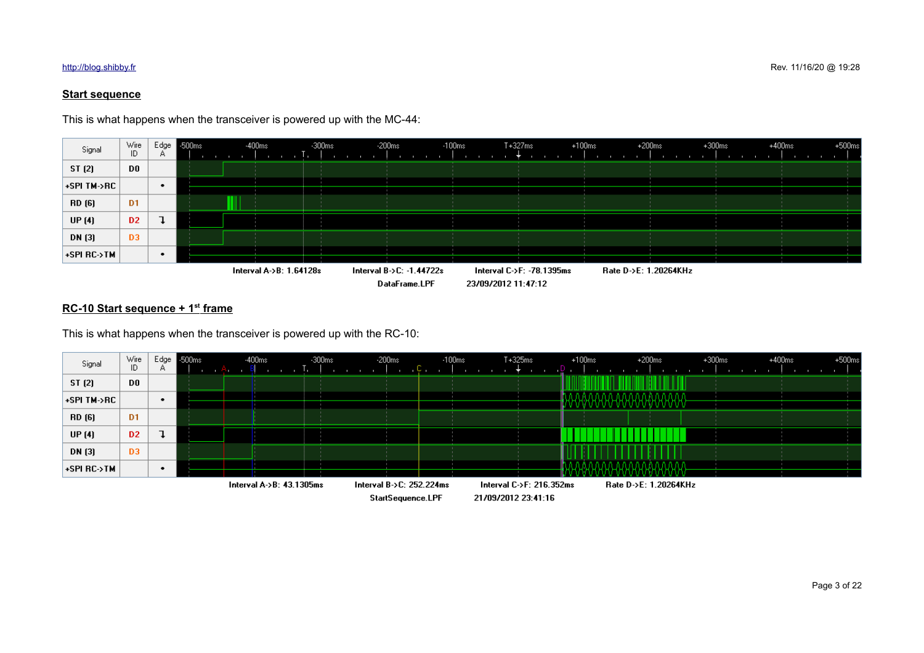## **Start sequence**

This is what happens when the transceiver is powered up with the MC-44:



### **RC-10 Start sequence + 1st frame**

This is what happens when the transceiver is powered up with the RC-10:



StartSequence.LPF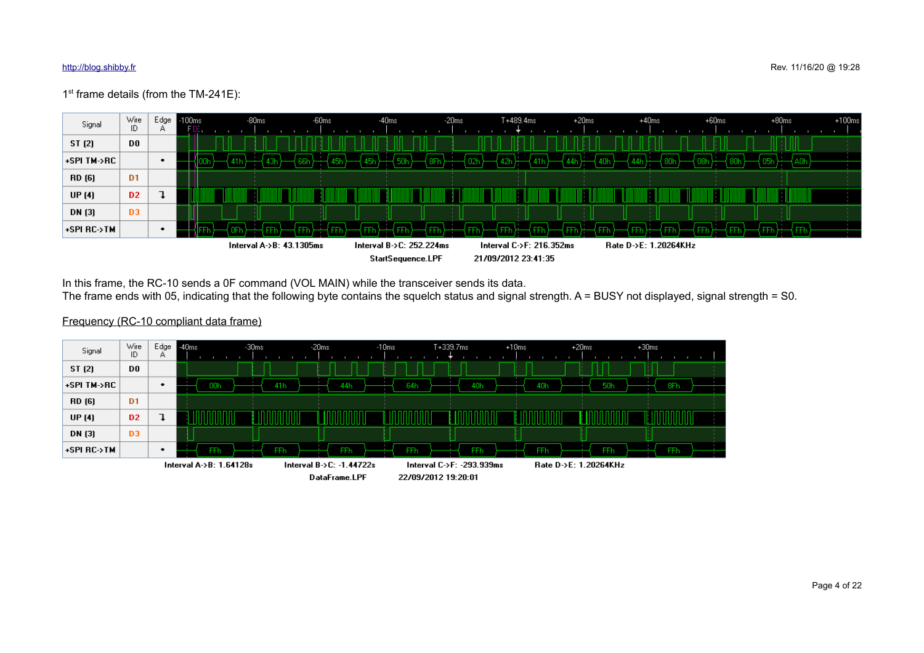## 1<sup>st</sup> frame details (from the TM-241E):



In this frame, the RC-10 sends a 0F command (VOL MAIN) while the transceiver sends its data.

The frame ends with 05, indicating that the following byte contains the squelch status and signal strength. A = BUSY not displayed, signal strength = S0.

## Frequency (RC-10 compliant data frame)

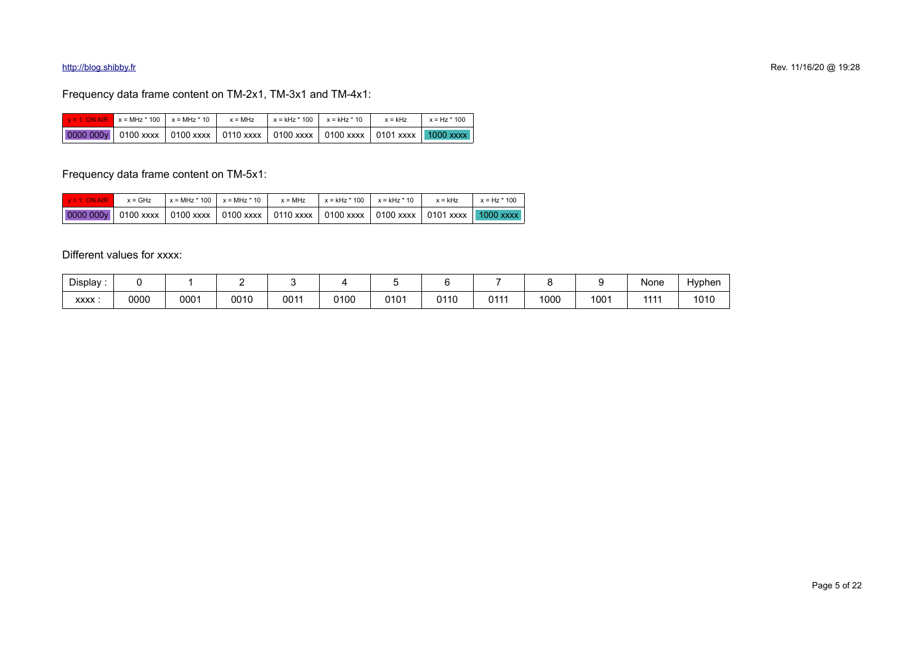## Frequency data frame content on TM-2x1, TM-3x1 and TM-4x1:

|                                                                                                                                         | $y = 1$ : ON AIR $x = MHz * 100$ $x = MHz * 10$ $x = MHz$ |  |  | $x = kHz * 100$ $x = kHz * 10$ $x = kHz$ $x = kHz$ $x = Hz * 100$ |  |
|-----------------------------------------------------------------------------------------------------------------------------------------|-----------------------------------------------------------|--|--|-------------------------------------------------------------------|--|
| $\mid$ 0000 000y $\mid$ 0100 xxxx $\mid$ 0100 xxxx $\mid$ 0110 xxxx $\mid$ 0100 xxxx $\mid$ 0100 xxxx $\mid$ 0101 xxxx $\mid$ 1000 xxxx |                                                           |  |  |                                                                   |  |

Frequency data frame content on TM-5x1:

| $V = 1$ : ON AIR                                                                                                                                                 | $x = GHz$ | $x = MHz * 100$ $x = MHz * 10$ | x = MHz x = kHz * 100 x = kHz * 10 | x = kHz | $x = Hz * 100$ |
|------------------------------------------------------------------------------------------------------------------------------------------------------------------|-----------|--------------------------------|------------------------------------|---------|----------------|
| $\mid$ 0000 000y $\mid$ 0100 xxxx $\mid$ 0100 xxxx $\mid$ 0100 xxxx $\mid$ 0110 xxxx $\mid$ 0100 xxxx $\mid$ 0100 xxxx $\mid$ 10101 xxxx $\mid$ 1000 xxxx $\mid$ |           |                                |                                    |         |                |

Different values for xxxx:

| Display:    |              |      |      |      |      |      |      |                           |      |      | None | Hyphen |
|-------------|--------------|------|------|------|------|------|------|---------------------------|------|------|------|--------|
| <b>XXXX</b> | nnnn<br>υυυυ | 0001 | 0010 | 0011 | 0100 | 0101 | 0110 | <b>0111</b><br><b>UII</b> | 1000 | 1001 | 4444 | 1010   |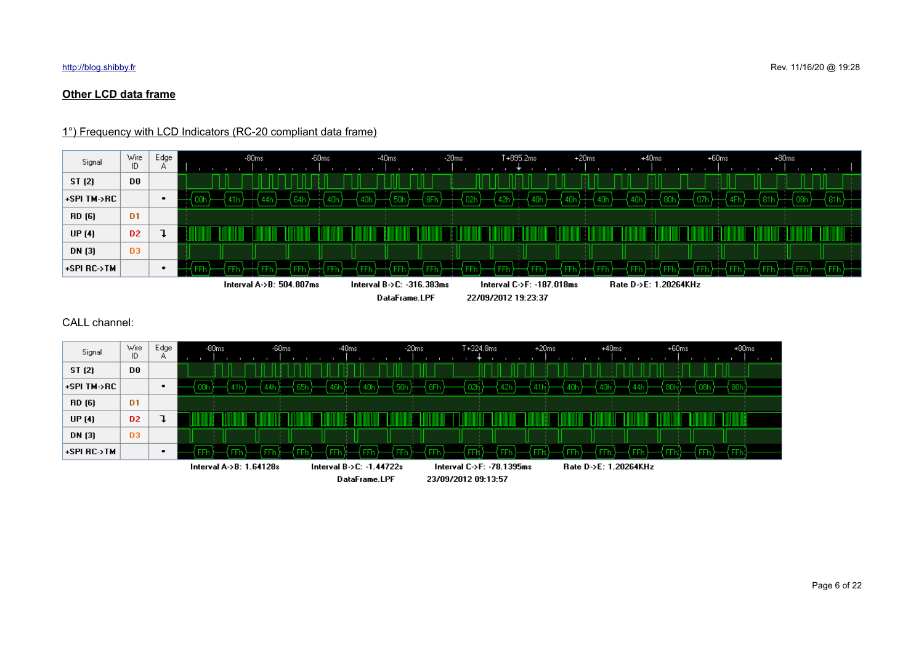## **Other LCD data frame**

## 1°) Frequency with LCD Indicators (RC-20 compliant data frame)



## CALL channel:

| Signal      | Wire<br>ID.    | Edge<br>Α. | $-60ms$<br>$-80ms$      | $-40ms$                  | $-20ms$ | $T + 324.8$ ms            | $+20ms$ | $+40ms$               | $+60ms$ | $+80ms$ |
|-------------|----------------|------------|-------------------------|--------------------------|---------|---------------------------|---------|-----------------------|---------|---------|
| ST (2)      | D0             |            |                         |                          |         |                           |         |                       |         |         |
| +SPI TM->RC |                | ٠          |                         |                          |         | 42h                       |         |                       |         |         |
| RD (6)      | D <sub>1</sub> |            |                         |                          |         |                           |         |                       |         |         |
| UP (4)      | D <sub>2</sub> |            |                         |                          |         |                           |         |                       |         |         |
| DN (3)      | D <sub>3</sub> |            |                         |                          |         |                           |         |                       |         |         |
| +SPI RC->TM |                | ٠          | FFF                     |                          |         | ᄄ<br>ĒĒ                   |         | ĒĒ                    |         | FFV     |
|             |                |            | Interval A->B: 1.64128s | Interval B->C: -1.44722s |         | Interval C->F: -78.1395ms |         | Rate D->E: 1.20264KHz |         |         |
|             |                |            |                         | DataFrame.LPF            |         | 23/09/2012 09:13:57       |         |                       |         |         |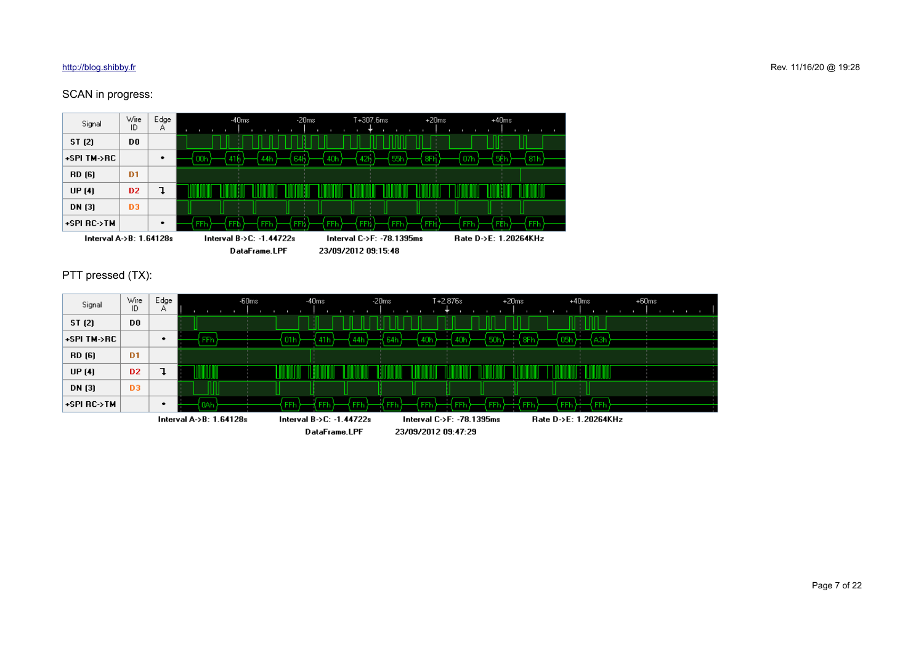## SCAN in progress:



PTT pressed (TX):

| Signal      | Wire<br>ID     | Edge<br>А |                         | $-60ms$ | $-40ms$                         |               | $-20ms$ | $T + 2.876s$              | $+20ms$ | $+40ms$               | $+60ms$ |  |
|-------------|----------------|-----------|-------------------------|---------|---------------------------------|---------------|---------|---------------------------|---------|-----------------------|---------|--|
| ST (2)      | D <sub>0</sub> |           |                         |         |                                 |               |         |                           |         |                       |         |  |
| +SPI TM->RC |                |           | FFh                     |         | -01 h<br>41 h                   |               |         |                           | orr     | A3h.                  |         |  |
| RD (6)      | D <sub>1</sub> |           |                         |         |                                 |               |         |                           |         |                       |         |  |
| UP $(4)$    | D <sub>2</sub> |           |                         |         |                                 |               |         |                           |         |                       |         |  |
| DN (3)      | D <sub>3</sub> |           |                         |         |                                 |               |         |                           |         |                       |         |  |
| +SPI RC->TM |                |           |                         |         | FFF<br>FFh                      | FFI.          |         | EEL                       |         | <b>FFh</b>            |         |  |
|             |                |           | Interval A->B: 1.64128s |         | Interval $B > C$ : -1.44722 $s$ |               |         | Interval C->F: -78.1395ms |         | Rate D->E: 1.20264KHz |         |  |
|             |                |           |                         |         |                                 | DataFrame.LPF |         | 23/09/2012 09:47:29       |         |                       |         |  |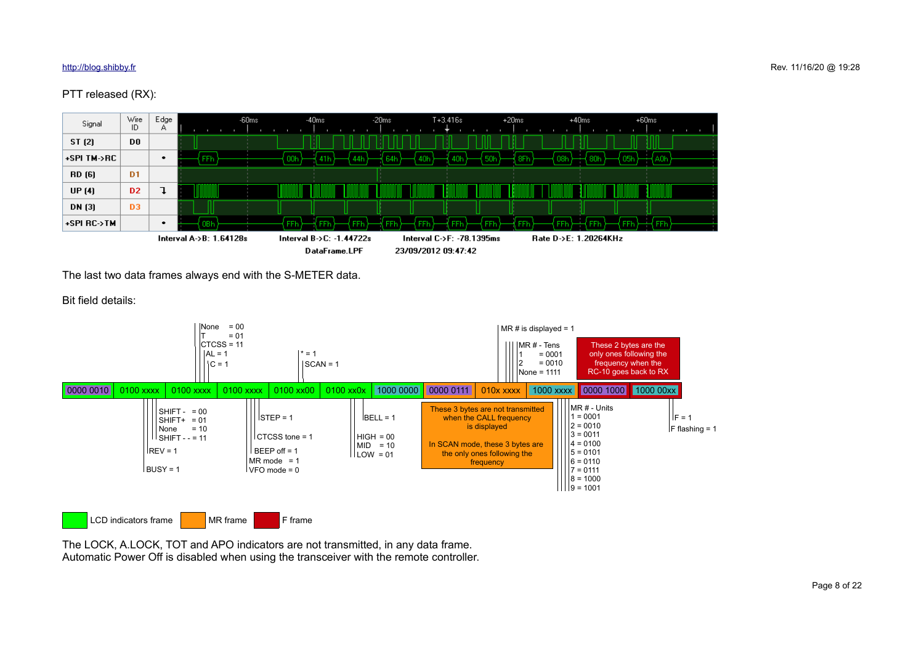## PTT released (RX):



The last two data frames always end with the S-METER data.

Bit field details:





The LOCK, A.LOCK, TOT and APO indicators are not transmitted, in any data frame. Automatic Power Off is disabled when using the transceiver with the remote controller.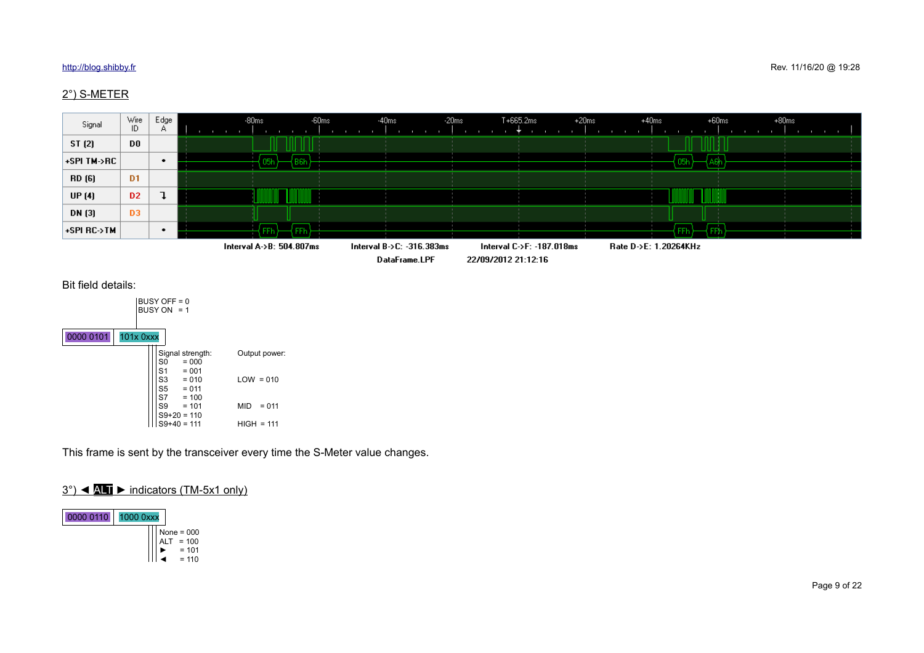## 2°) S-METER





|           |           | BUSY OFF = 0<br>BUSY ON $= 1$          |                                                                         |              |               |
|-----------|-----------|----------------------------------------|-------------------------------------------------------------------------|--------------|---------------|
| 0000 0101 | 101x 0xxx |                                        |                                                                         |              |               |
|           |           | S0<br>S <sub>1</sub><br>S3<br>S5<br>S7 | Signal strength:<br>$= 000$<br>$= 001$<br>$= 010$<br>$= 011$<br>$= 100$ | $LOW = 010$  | Output power: |
|           |           | S9                                     | $= 101$<br>$S9+20 = 110$                                                | <b>MID</b>   | $= 011$       |
|           |           |                                        | $S9+40 = 111$                                                           | $HIGH = 111$ |               |

This frame is sent by the transceiver every time the S-Meter value changes.

## 3°) ◄ ALT ► indicators (TM-5x1 only)



 $\blacktriangleright$  = 101 ◄ = 110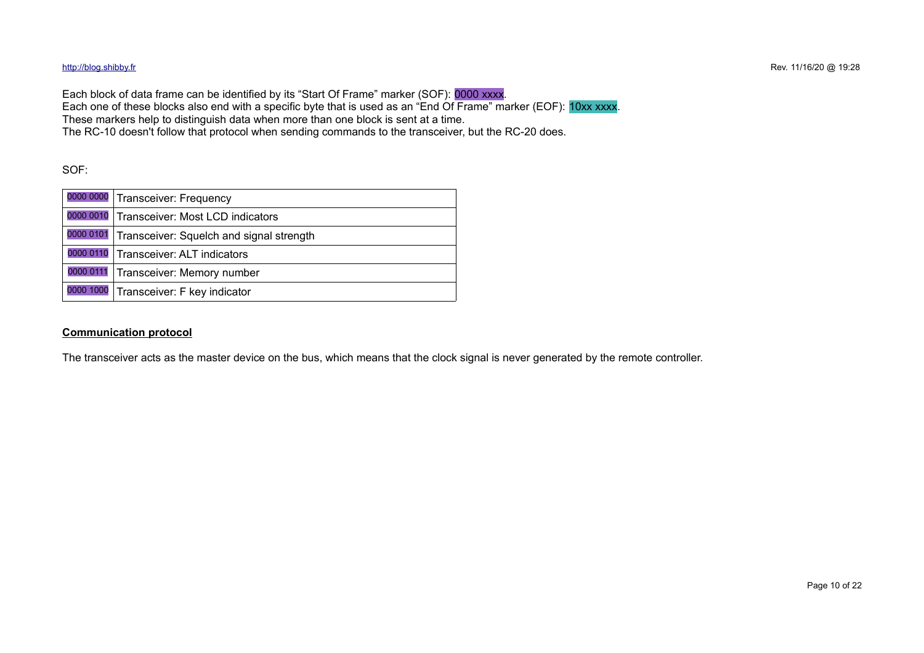Each block of data frame can be identified by its "Start Of Frame" marker (SOF): 0000 xxxx. Each one of these blocks also end with a specific byte that is used as an "End Of Frame" marker (EOF): 10xx xxxx. These markers help to distinguish data when more than one block is sent at a time. The RC-10 doesn't follow that protocol when sending commands to the transceiver, but the RC-20 does.

SOF:

| 0000 0000 Transceiver: Frequency                   |
|----------------------------------------------------|
| 0000 0010 Transceiver: Most LCD indicators         |
| 0000 0101 Transceiver: Squelch and signal strength |
| 0000 0110 Transceiver: ALT indicators              |
| 0000 0111 Transceiver: Memory number               |
| 0000 1000 Transceiver: F key indicator             |

### **Communication protocol**

The transceiver acts as the master device on the bus, which means that the clock signal is never generated by the remote controller.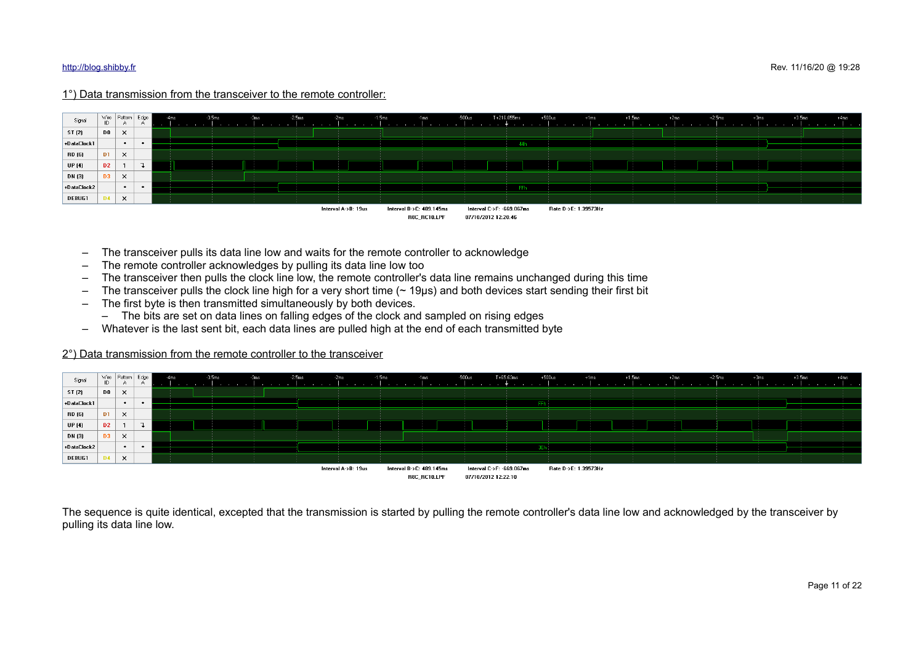## 1°) Data transmission from the transceiver to the remote controller:



- The transceiver pulls its data line low and waits for the remote controller to acknowledge
- The remote controller acknowledges by pulling its data line low too
- The transceiver then pulls the clock line low, the remote controller's data line remains unchanged during this time
- $-$  The transceiver pulls the clock line high for a very short time  $($   $\sim$  19µs) and both devices start sending their first bit
- The first byte is then transmitted simultaneously by both devices.
	- The bits are set on data lines on falling edges of the clock and sampled on rising edges
- Whatever is the last sent bit, each data lines are pulled high at the end of each transmitted byte

### 2°) Data transmission from the remote controller to the transceiver

| Signal        |                | $\begin{array}{c c c c} \text{Wire} & \text{Pattern} & \text{Edge} \\ \text{ID} & \text{A} & \text{A} \end{array}$ |           |                                  | 4ms | $-3.5ms$                 |  |  | $-2.5ms$ |                     | $-1.5ms$                          |                          | -1ms                     | $-500us$                  | T+65.63ms |        | $+500$ us            | $+1ms$                                      | $+1.5$ ms                         | $+2$ ms                                       | $+2.5$ ms                                |  | $+3.5$ ms                | +4ms |
|---------------|----------------|--------------------------------------------------------------------------------------------------------------------|-----------|----------------------------------|-----|--------------------------|--|--|----------|---------------------|-----------------------------------|--------------------------|--------------------------|---------------------------|-----------|--------|----------------------|---------------------------------------------|-----------------------------------|-----------------------------------------------|------------------------------------------|--|--------------------------|------|
| ST (2)        | DO.            | $\times$                                                                                                           |           | <b>Contract Contract</b><br>- 11 |     |                          |  |  |          |                     |                                   |                          |                          |                           |           |        |                      | <b>Contract Contract</b>                    |                                   |                                               |                                          |  |                          |      |
| +DataClock1   |                | $\bullet$                                                                                                          | $\bullet$ |                                  |     |                          |  |  |          |                     |                                   |                          |                          |                           |           |        |                      |                                             |                                   |                                               |                                          |  |                          |      |
| RD (6)        | D <sub>1</sub> | $\times$                                                                                                           |           |                                  |     |                          |  |  |          |                     | <b>Contract Contract Contract</b> |                          |                          |                           |           | 10,000 |                      | <b>Contract</b><br><b>Contract Contract</b> | <b>COLLA</b><br><b>CONTRACTOR</b> | <b>Contract Contract</b>                      | <b>Contract Contract</b>                 |  |                          |      |
| UP(4)         | D <sub>2</sub> |                                                                                                                    |           |                                  |     |                          |  |  |          |                     |                                   |                          |                          |                           |           |        |                      |                                             |                                   |                                               |                                          |  |                          |      |
| DN (3)        | D3             | $\times$                                                                                                           |           |                                  |     |                          |  |  |          |                     | <b>Contract Contract</b>          |                          | <b>Contract Contract</b> |                           |           |        |                      | - 11                                        | <b>Contract Contract</b>          | <b>Contract Contract</b><br><b>CONTRACTOR</b> | <b>Contract Contract</b><br><b>COLLA</b> |  |                          |      |
| +DataClock2   |                | $\bullet$                                                                                                          | $\bullet$ |                                  |     |                          |  |  |          |                     |                                   |                          |                          |                           |           | 3Eh:   |                      |                                             |                                   |                                               |                                          |  |                          |      |
| <b>DEBUG1</b> |                | $\times$                                                                                                           |           | $\sim$                           |     | <b>Contract Contract</b> |  |  |          |                     |                                   |                          |                          |                           |           |        |                      |                                             |                                   | <b>Contract Contract</b>                      | <b>Contract Contract</b>                 |  | <b>Contract Contract</b> |      |
|               |                |                                                                                                                    |           |                                  |     |                          |  |  |          | Interval A->B: 19us |                                   | Interval B->C: 489.145ms |                          | Interval C->F: -669.067ms |           |        | Rate D->E: 1.39573Hz |                                             |                                   |                                               |                                          |  |                          |      |
|               |                |                                                                                                                    |           |                                  |     |                          |  |  |          |                     |                                   |                          | BSC BC10.LPF             | 07/10/2012 12:22:10       |           |        |                      |                                             |                                   |                                               |                                          |  |                          |      |

The sequence is quite identical, excepted that the transmission is started by pulling the remote controller's data line low and acknowledged by the transceiver by pulling its data line low.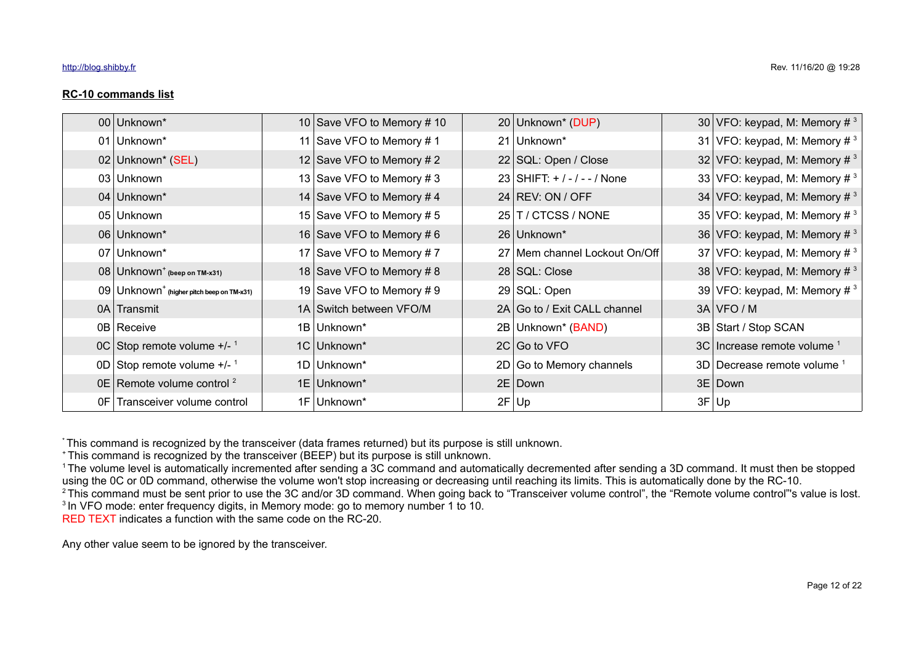| 00 Unknown*                                             | 10 Save VFO to Memory #10 | 20 Unknown* (DUP)             | 30 VFO: keypad, M: Memory $\#^3$            |
|---------------------------------------------------------|---------------------------|-------------------------------|---------------------------------------------|
| 01 Unknown*                                             | 11 Save VFO to Memory #1  | 21 Unknown*                   | 31 VFO: keypad, M: Memory $\#^3$            |
| 02 Unknown* (SEL)                                       | 12 Save VFO to Memory # 2 | 22   SQL: Open / Close        | 32 VFO: keypad, M: Memory $\#$ <sup>3</sup> |
| 03 Unknown                                              | 13 Save VFO to Memory # 3 | 23 SHIFT: $+/-/-$ / None      | 33 VFO: keypad, M: Memory $\#$ <sup>3</sup> |
| 04 Unknown*                                             | 14 Save VFO to Memory #4  | 24 REV: ON / OFF              | 34 VFO: keypad, M: Memory $\#^3$            |
| 05 Unknown                                              | 15 Save VFO to Memory #5  | 25 T / CTCSS / NONE           | 35 VFO: keypad, M: Memory # $3$             |
| 06 Unknown*                                             | 16 Save VFO to Memory #6  | 26 Unknown*                   | 36 VFO: keypad, M: Memory $\#$ <sup>3</sup> |
| 07 Unknown*                                             | 17 Save VFO to Memory #7  | 27 Mem channel Lockout On/Off | 37 VFO: keypad, M: Memory $\#$ <sup>3</sup> |
| $08$ Unknown <sup>+</sup> (beep on TM-x31)              | 18 Save VFO to Memory #8  | 28 SQL: Close                 | 38 VFO: keypad, M: Memory $\#$ <sup>3</sup> |
| $09$ Unknown <sup>+</sup> (higher pitch beep on TM-x31) | 19 Save VFO to Memory #9  | 29 SQL: Open                  | 39 VFO: keypad, M: Memory $\#$ <sup>3</sup> |
| 0A Transmit                                             | 1A Switch between VFO/M   | 2A Go to / Exit CALL channel  | 3A VFO/M                                    |
| 0B Receive                                              | 1B Unknown*               | 2B Unknown* (BAND)            | 3B Start / Stop SCAN                        |
| $OC$ Stop remote volume $+/-$ <sup>1</sup>              | 1C Unknown*               | $2C$ Go to VFO                | 3C   Increase remote volume 1               |
| 0D Stop remote volume $+/-$ <sup>1</sup>                | 1D Unknown*               | 2D Go to Memory channels      | 3D   Decrease remote volume                 |
| 0E Remote volume control $2$                            | 1E Unknown*               | 2E Down                       | 3E Down                                     |

\* This command is recognized by the transceiver (data frames returned) but its purpose is still unknown.

<sup>+</sup>This command is recognized by the transceiver (BEEP) but its purpose is still unknown.

<sup>1</sup>The volume level is automatically incremented after sending a 3C command and automatically decremented after sending a 3D command. It must then be stopped using the 0C or 0D command, otherwise the volume won't stop increasing or decreasing until reaching its limits. This is automatically done by the RC-10.

 $0 \text{ F}$  Transceiver volume control  $1 \text{ F}$  Unknown\*  $2 \text{ F}$  Up  $2 \text{ F}$  Up  $3 \text{ F}$  Up  $3 \text{ F}$  Up

<sup>2</sup>This command must be sent prior to use the 3C and/or 3D command. When going back to "Transceiver volume control", the "Remote volume control"'s value is lost. <sup>3</sup> In VFO mode: enter frequency digits, in Memory mode: go to memory number 1 to 10.

RED TEXT indicates a function with the same code on the RC-20.

Any other value seem to be ignored by the transceiver.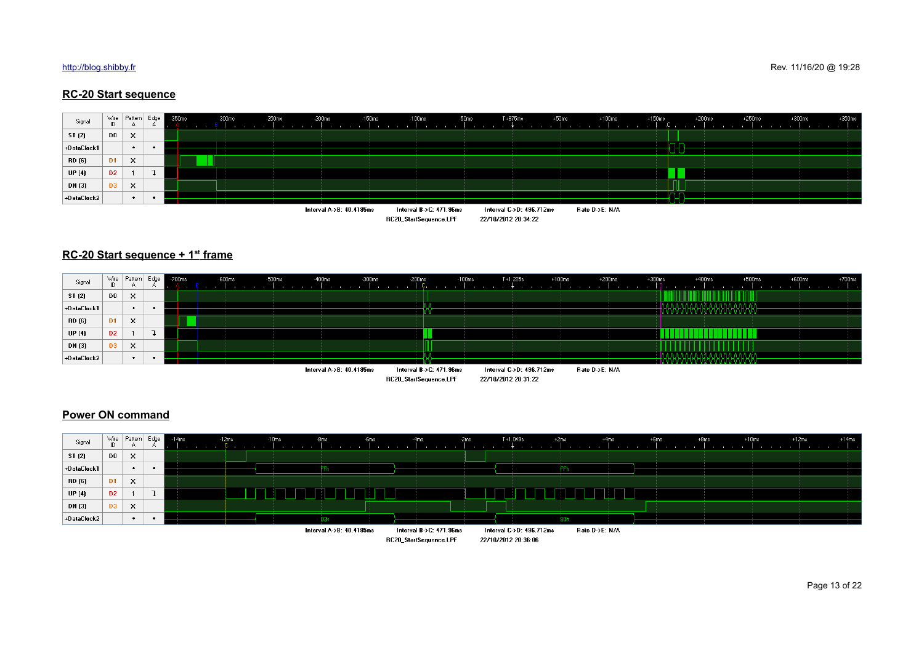## **RC-20 Start sequence**



### **RC-20 Start sequence + 1st frame**



## **Power ON command**

| Signal        | ID             | Wire Pattern Edge<br>A | $\sim$ | $-14ms$ | $-12ms$ | $-10ms$ | $-8ms$                   | -6ms | 4ms                     | $-2ms$                                                | $T + 1.049s$             | $+2ms$ | $+4ms$         | $+6ms$                               | $+8ms$ | $+10ms$ | $+12ms$ | $+14ms$ |
|---------------|----------------|------------------------|--------|---------|---------|---------|--------------------------|------|-------------------------|-------------------------------------------------------|--------------------------|--------|----------------|--------------------------------------|--------|---------|---------|---------|
| ST (2)        | D <sub>0</sub> | $\mathsf{x}$           |        |         |         |         |                          |      |                         |                                                       |                          |        |                |                                      |        |         |         |         |
| +DataClock1   |                | $\bullet$              |        |         |         |         |                          |      |                         |                                                       |                          |        |                |                                      |        |         |         |         |
| RD (6)        | D <sub>1</sub> | $\boldsymbol{\times}$  |        |         |         |         |                          |      |                         |                                                       |                          |        |                |                                      |        |         |         |         |
| <b>UP</b> (4) | D <sub>2</sub> |                        |        |         |         |         |                          |      |                         |                                                       |                          |        |                |                                      |        |         |         |         |
| DN (3)        | D3             | $\times$               |        |         |         |         |                          |      |                         | <b><i><u>ALCO</u></i></b><br><b>Contract Contract</b> |                          |        |                | <b>CONTRACTOR</b><br><b>Contract</b> |        |         |         |         |
| +DataClock2   |                | $\bullet$              |        |         |         |         | 03h                      |      |                         |                                                       |                          |        |                |                                      |        |         |         |         |
|               |                |                        |        |         |         |         | Interval A->B: 40.4185ms |      | Interval B->C: 471.96ms |                                                       | Interval C->D: 496.712ms |        | Rate D->E: N/A |                                      |        |         |         |         |
|               |                |                        |        |         |         |         |                          |      | RC20_StartSequence.LPF  |                                                       | 22/10/2012 20:36:06      |        |                |                                      |        |         |         |         |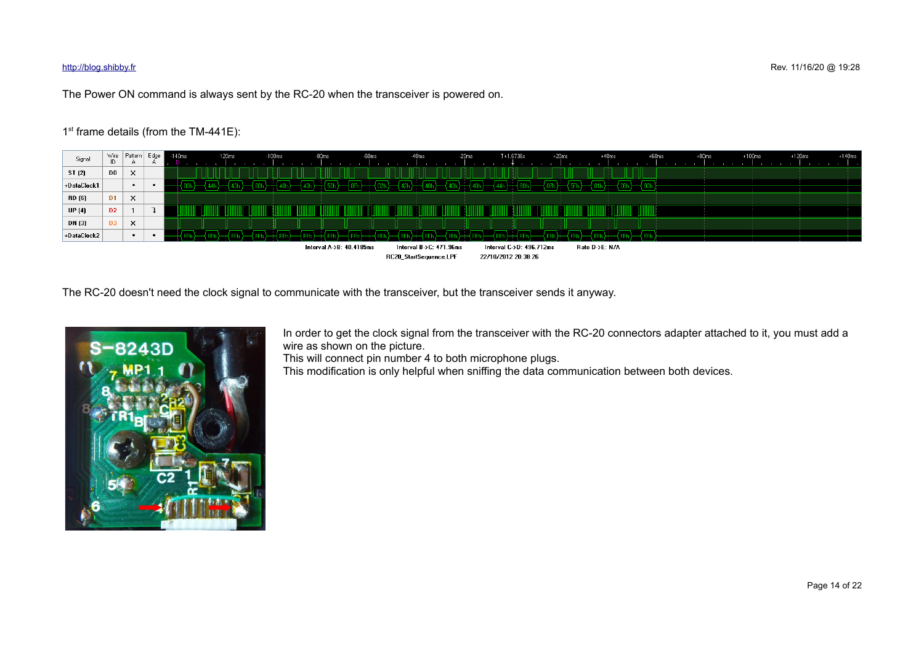The Power ON command is always sent by the RC-20 when the transceiver is powered on.

## 1<sup>st</sup> frame details (from the TM-441E):



The RC-20 doesn't need the clock signal to communicate with the transceiver, but the transceiver sends it anyway.



In order to get the clock signal from the transceiver with the RC-20 connectors adapter attached to it, you must add a wire as shown on the picture.

This will connect pin number 4 to both microphone plugs.

This modification is only helpful when sniffing the data communication between both devices.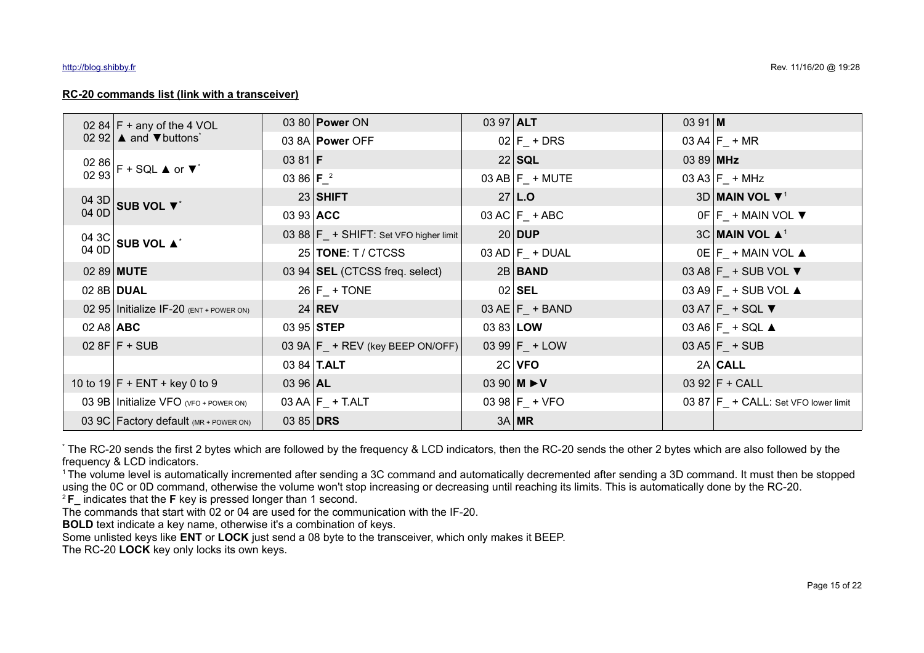## **RC-20 commands list (link with a transceiver)**

|              | 02 84 $F +$ any of the 4 VOL                                                                   |                    | 03 80 <b>Power</b> ON                     | 03 97 ALT   |                                                   | $0391$ M  |                                        |
|--------------|------------------------------------------------------------------------------------------------|--------------------|-------------------------------------------|-------------|---------------------------------------------------|-----------|----------------------------------------|
|              | 02 92 $\blacktriangle$ and $\nabla$ buttons <sup>*</sup>                                       |                    | 03 8A Power OFF                           |             | $02$ $F_+$ DRS                                    |           | 03 A4 $F_+$ + MR                       |
|              | $\begin{bmatrix} 02 & 86 \\ 02 & 93 \end{bmatrix}$ F + SQL $\blacktriangle$ or $\nabla^*$      | 03 81 <b>F</b>     |                                           |             | 22 SQL                                            | 03 89 MHz |                                        |
|              |                                                                                                | 03 86 $F^2$        |                                           |             | $03$ AB $F_+$ MUTE                                |           | 03 A3 $F_+$ + MHz                      |
|              | $\begin{array}{c c} 04 & 3D \\ 04 & 0D \end{array}$ SUB VOL $\blacktriangledown^*$             |                    | $23$ SHIFT                                |             | $27$ L.O                                          |           | 3D MAIN VOL $\Psi^1$                   |
|              |                                                                                                | 03 93 ACC          |                                           |             | $03 AC$ $F_$ + ABC                                |           | $OF$ $F_$ + MAIN VOL ▼                 |
|              | $\begin{array}{c c} 04 & 3 \text{C} \\ 04 & 0 \text{D} \end{array}$ SUB VOL $\blacktriangle^*$ |                    | 03 88 $F_+$ + SHIFT: Set VFO higher limit |             | $20$ DUP                                          |           | $3C$ MAIN VOL $\blacktriangle^1$       |
|              |                                                                                                |                    | 25   TONE: T / CTCSS                      |             | $03$ AD $F_+$ DUAL                                |           | $OE F_+$ MAIN VOL $\triangle$          |
|              | 02 89 <b>MUTE</b>                                                                              |                    | 03 94 SEL (CTCSS freq. select)            |             | $2B$ <b>BAND</b>                                  |           | 03 A8 $F_$ + SUB VOL ▼                 |
|              | 02 8B DUAL                                                                                     |                    | $26$ $F_+$ TONE                           |             | $02$ SEL                                          |           | 03 A9 $F_+$ SUB VOL $\triangle$        |
|              | 02 95   Initialize IF-20 $(ENT + Power ON)$                                                    |                    | $24$ REV                                  |             | 03 AE $F_$ + BAND                                 |           | 03 A7 $F_$ + SQL ▼                     |
| $02A8$ $ABC$ |                                                                                                |                    | 03 95 STEP                                | 03 83 $LOW$ |                                                   |           | $03 A6$ $F_+$ SQL $\triangle$          |
|              | $028F$ F + SUB                                                                                 |                    | 03 9A $F_+$ + REV (key BEEP ON/OFF)       |             | 03 99 $F_+$ + LOW                                 |           | 03 A5 $F_+$ + SUB                      |
|              |                                                                                                | 03 84 <b>T.ALT</b> |                                           |             | $2C$ VFO                                          |           | $2A $ CALL                             |
|              | 10 to $19 F + ENT + \text{key } 0$ to 9                                                        | 03 96 AL           |                                           |             | 03 90 <b>M <math>\blacktriangleright</math> V</b> |           | 03 92 $F + CALL$                       |
|              | 03 9B Initialize VFO (VFO + POWER ON)                                                          |                    | $03$ AA $F_$ + T.ALT                      |             | 03 98 $F_+$ + VFO                                 |           | 03 87   F_ + CALL: Set VFO lower limit |
|              | 03 9C Factory default (MR + POWER ON)                                                          | 03 85 DRS          |                                           |             | $3A$ MR                                           |           |                                        |

\* The RC-20 sends the first 2 bytes which are followed by the frequency & LCD indicators, then the RC-20 sends the other 2 bytes which are also followed by the frequency & LCD indicators.

<sup>1</sup>The volume level is automatically incremented after sending a 3C command and automatically decremented after sending a 3D command. It must then be stopped using the 0C or 0D command, otherwise the volume won't stop increasing or decreasing until reaching its limits. This is automatically done by the RC-20.

<sup>2</sup>**F\_** indicates that the **F** key is pressed longer than 1 second.

The commands that start with 02 or 04 are used for the communication with the IF-20.

**BOLD** text indicate a key name, otherwise it's a combination of keys.

Some unlisted keys like **ENT** or **LOCK** just send a 08 byte to the transceiver, which only makes it BEEP.

The RC-20 **LOCK** key only locks its own keys.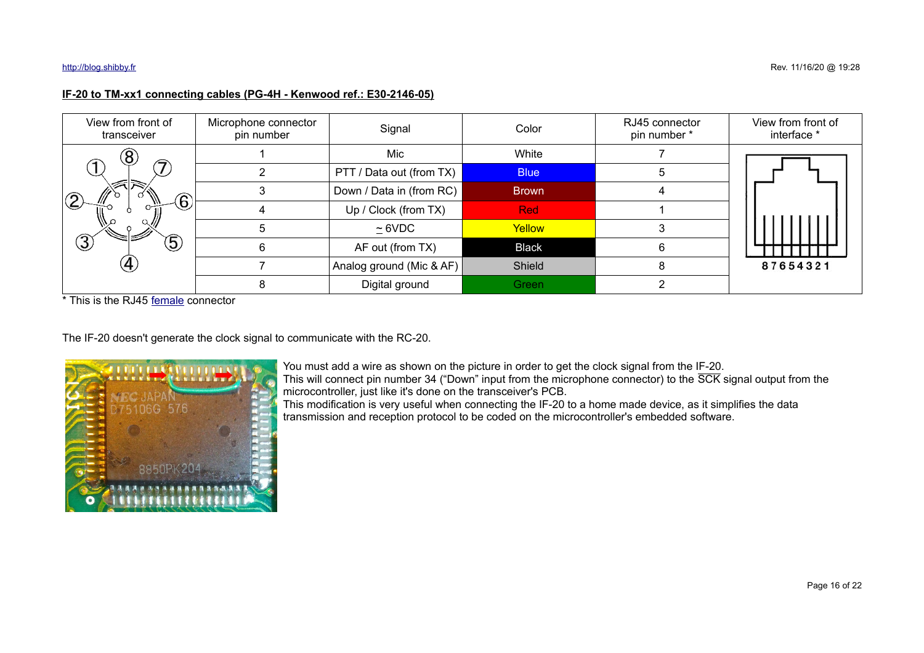## **IF-20 to TM-xx1 connecting cables (PG-4H - Kenwood ref.: E30-2146-05)**

| View from front of<br>transceiver | Microphone connector<br>pin number | Signal                   | Color        | RJ45 connector<br>pin number * | View from front of<br>interface * |  |
|-----------------------------------|------------------------------------|--------------------------|--------------|--------------------------------|-----------------------------------|--|
| $\left( 8\right)$                 |                                    | Mic                      | White        |                                |                                   |  |
|                                   |                                    | PTT / Data out (from TX) | <b>Blue</b>  | 5                              |                                   |  |
| $\mathbf{6}$                      |                                    | Down / Data in (from RC) | <b>Brown</b> |                                |                                   |  |
|                                   |                                    | Up / Clock (from TX)     | <b>Red</b>   |                                |                                   |  |
|                                   |                                    | $\simeq$ 6VDC            | Yellow       |                                |                                   |  |
| $\circled{3}$<br>$\mathfrak{S}$   | 6                                  | AF out (from TX)         | <b>Black</b> | 6                              |                                   |  |
| $\overline{A}$                    |                                    | Analog ground (Mic & AF) | Shield       | 8                              | 87654321                          |  |
|                                   |                                    | Digital ground           | Green        |                                |                                   |  |

\* This is the RJ45 [female](http://images.google.com/search?num=10&hl=en&site=&tbm=isch&source=hp&biw=1920&bih=871&q=rj45+female+connector+-male) connector

The IF-20 doesn't generate the clock signal to communicate with the RC-20.



You must add a wire as shown on the picture in order to get the clock signal from the IF-20. This will connect pin number 34 ("Down" input from the microphone connector) to the SCK signal output from the microcontroller, just like it's done on the transceiver's PCB.

This modification is very useful when connecting the IF-20 to a home made device, as it simplifies the data transmission and reception protocol to be coded on the microcontroller's embedded software.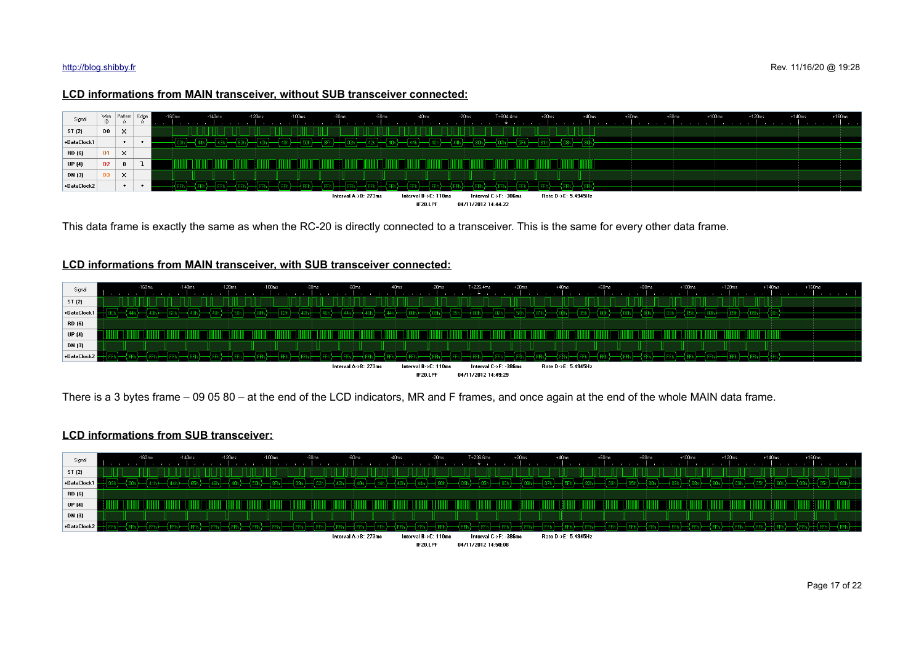### **LCD informations from MAIN transceiver, without SUB transceiver connected:**



This data frame is exactly the same as when the RC-20 is directly connected to a transceiver. This is the same for every other data frame.

## **LCD informations from MAIN transceiver, with SUB transceiver connected:**



There is a 3 bytes frame – 09 05 80 – at the end of the LCD indicators, MR and F frames, and once again at the end of the whole MAIN data frame.

### **LCD informations from SUB transceiver:**



IF20.LPF 04/11/2012 14:50:08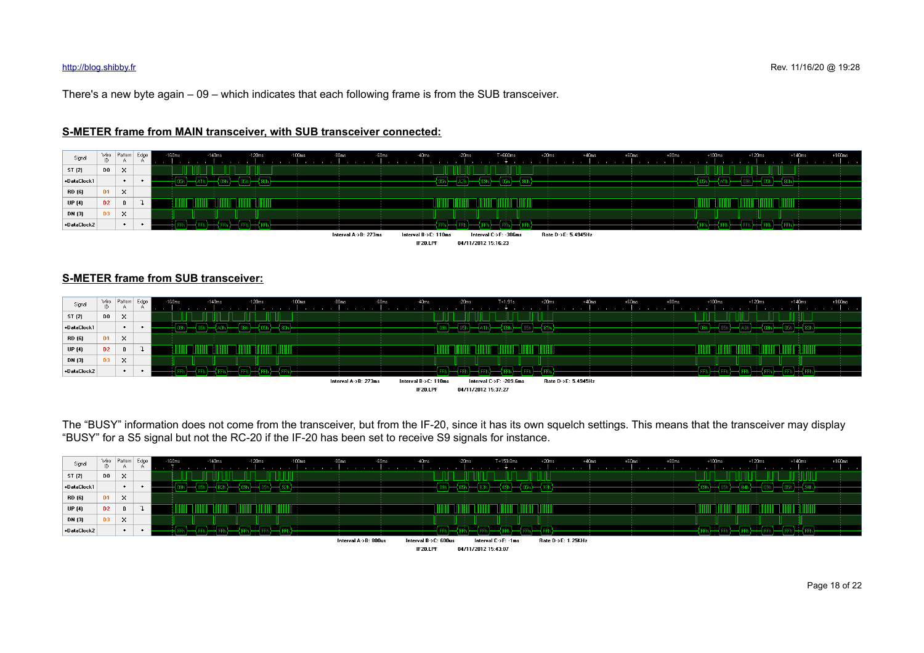There's a new byte again – 09 – which indicates that each following frame is from the SUB transceiver.



## **S-METER frame from MAIN transceiver, with SUB transceiver connected:**

## **S-METER frame from SUB transceiver:**



The "BUSY" information does not come from the transceiver, but from the IF-20, since it has its own squelch settings. This means that the transceiver may display "BUSY" for a S5 signal but not the RC-20 if the IF-20 has been set to receive S9 signals for instance.

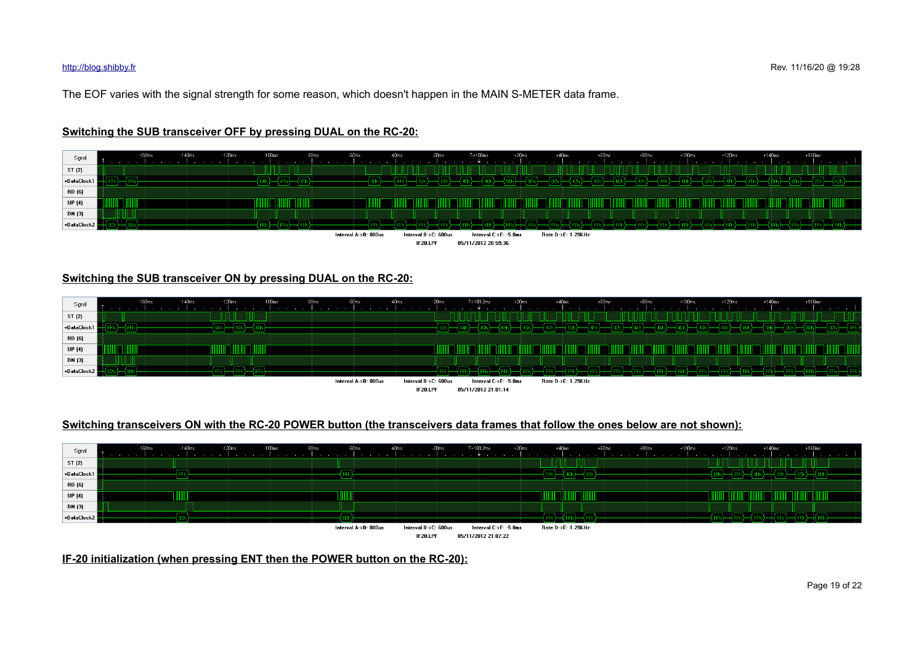The EOF varies with the signal strength for some reason, which doesn't happen in the MAIN S-METER data frame.



## **Switching the SUB transceiver OFF by pressing DUAL on the RC-20:**

## **Switching the SUB transceiver ON by pressing DUAL on the RC-20:**

| Signal        | 160ms | $-120ms$<br>$-100$ ms<br>$-140ms$ | $-80ms$<br>$-60ms$<br>-40ms | $-20ms$                          | $+20ms$<br>T+180.2ms                         | $+40ms$            | $+60ms$<br>$+80ms$ | $+100ms$ | $+120ms$ | $+160ms$<br>$+140ms$ |  |
|---------------|-------|-----------------------------------|-----------------------------|----------------------------------|----------------------------------------------|--------------------|--------------------|----------|----------|----------------------|--|
| ST (2)        |       |                                   |                             |                                  |                                              |                    |                    |          |          |                      |  |
| +DataClock1   |       |                                   |                             |                                  |                                              |                    |                    |          |          |                      |  |
| RD (6)        |       |                                   |                             |                                  |                                              |                    |                    |          |          |                      |  |
| <b>UP</b> (4) |       |                                   |                             |                                  |                                              |                    |                    |          |          |                      |  |
| DN (3)        |       | $-$                               |                             |                                  |                                              |                    |                    |          |          |                      |  |
| +DataClock2   |       |                                   |                             |                                  |                                              |                    |                    |          |          |                      |  |
|               |       |                                   | Interval A->B: 800us        | Interval B->C: 600us<br>IF20.LPF | Interval C->F: -5.8ms<br>05/11/2012 21:01:14 | Rate D->E: 1.25KHz |                    |          |          |                      |  |

## **Switching transceivers ON with the RC-20 POWER button (the transceivers data frames that follow the ones below are not shown):**



**IF-20 initialization (when pressing ENT then the POWER button on the RC-20):**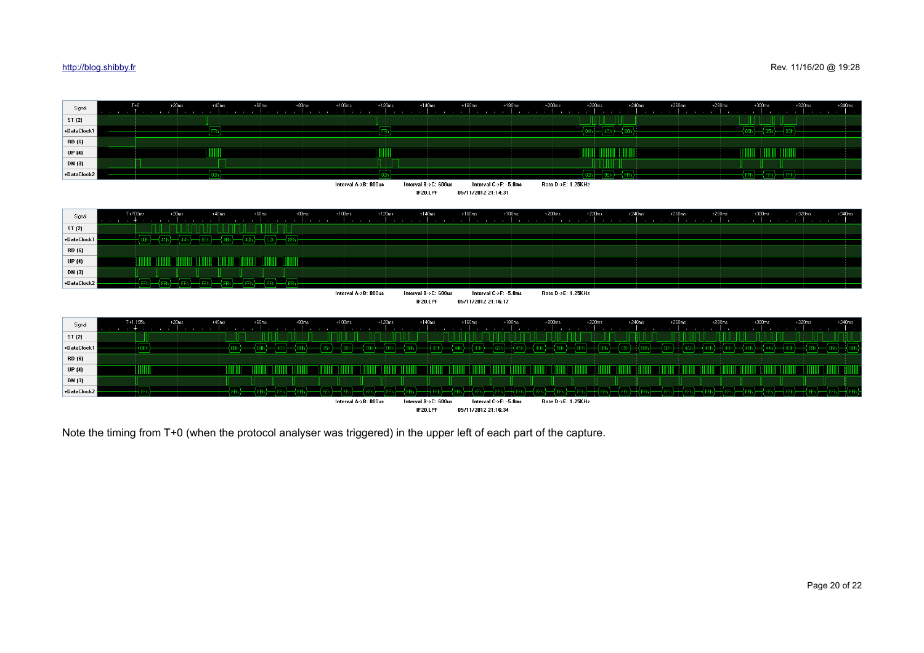

IF20.LPF 05/11/2012 21:16:34

Note the timing from T+0 (when the protocol analyser was triggered) in the upper left of each part of the capture.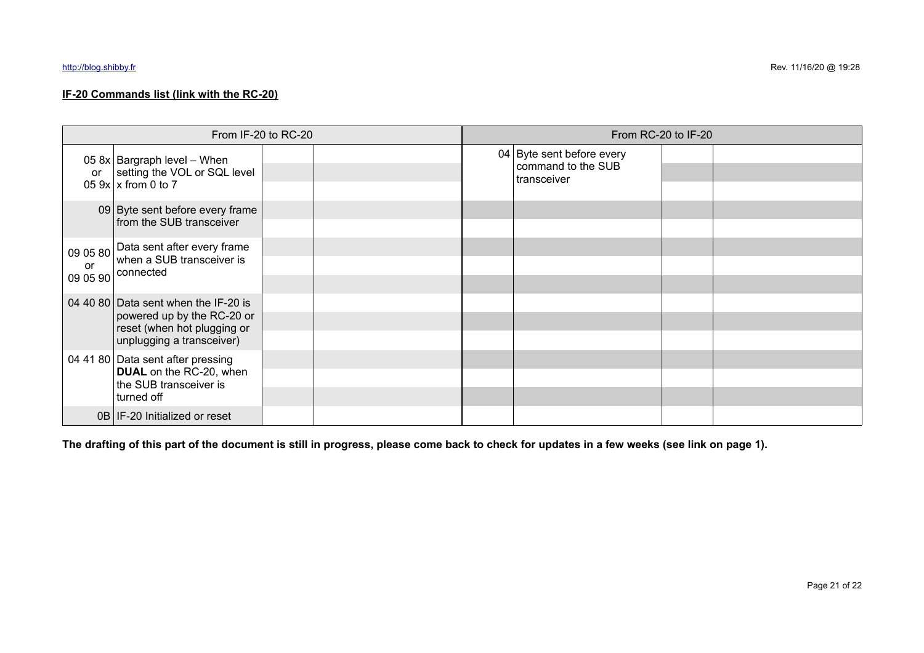## **IF-20 Commands list (link with the RC-20)**

| From IF-20 to RC-20 |                                                                                                                                |  | From RC-20 to IF-20 |  |                                                                |  |  |
|---------------------|--------------------------------------------------------------------------------------------------------------------------------|--|---------------------|--|----------------------------------------------------------------|--|--|
| or                  | 05 $8x$ Bargraph level – When<br>setting the VOL or SQL level<br>05 $9x$ x from 0 to 7                                         |  |                     |  | 04 Byte sent before every<br>command to the SUB<br>transceiver |  |  |
|                     | 09 Byte sent before every frame<br>from the SUB transceiver                                                                    |  |                     |  |                                                                |  |  |
| or<br>09 05 90      | 09 05 80 Data sent after every frame<br>when a SUB transceiver is<br>connected                                                 |  |                     |  |                                                                |  |  |
|                     | 04 40 80 Data sent when the IF-20 is<br>powered up by the RC-20 or<br>reset (when hot plugging or<br>unplugging a transceiver) |  |                     |  |                                                                |  |  |
|                     | 04 41 80 Data sent after pressing<br><b>DUAL</b> on the RC-20, when<br>the SUB transceiver is<br>turned off                    |  |                     |  |                                                                |  |  |
|                     | 0B   IF-20 Initialized or reset                                                                                                |  |                     |  |                                                                |  |  |

**The drafting of this part of the document is still in progress, please come back to check for updates in a few weeks (see link on page 1).**